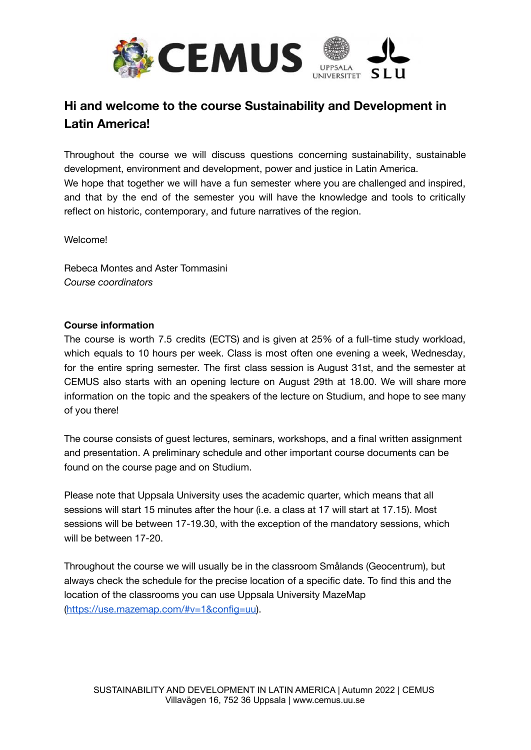

## **Hi and welcome to the course Sustainability and Development in Latin America!**

Throughout the course we will discuss questions concerning sustainability, sustainable development, environment and development, power and justice in Latin America. We hope that together we will have a fun semester where you are challenged and inspired, and that by the end of the semester you will have the knowledge and tools to critically reflect on historic, contemporary, and future narratives of the region.

Welcome!

Rebeca Montes and Aster Tommasini *Course coordinators*

## **Course information**

The course is worth 7.5 credits (ECTS) and is given at 25% of a full-time study workload, which equals to 10 hours per week. Class is most often one evening a week, Wednesday, for the entire spring semester. The first class session is August 31st, and the semester at CEMUS also starts with an opening lecture on August 29th at 18.00. We will share more information on the topic and the speakers of the lecture on Studium, and hope to see many of you there!

The course consists of guest lectures, seminars, workshops, and a final written assignment and presentation. A preliminary schedule and other important course documents can be found on the course page and on Studium.

Please note that Uppsala University uses the academic quarter, which means that all sessions will start 15 minutes after the hour (i.e. a class at 17 will start at 17.15). Most sessions will be between 17-19.30, with the exception of the mandatory sessions, which will be between 17-20.

Throughout the course we will usually be in the classroom Smålands (Geocentrum), but always check the schedule for the precise location of a specific date. To find this and the location of the classrooms you can use Uppsala University MazeMap ([https://use.mazemap.com/#v=1&config=uu\)](https://use.mazemap.com/#v=1&config=uu).